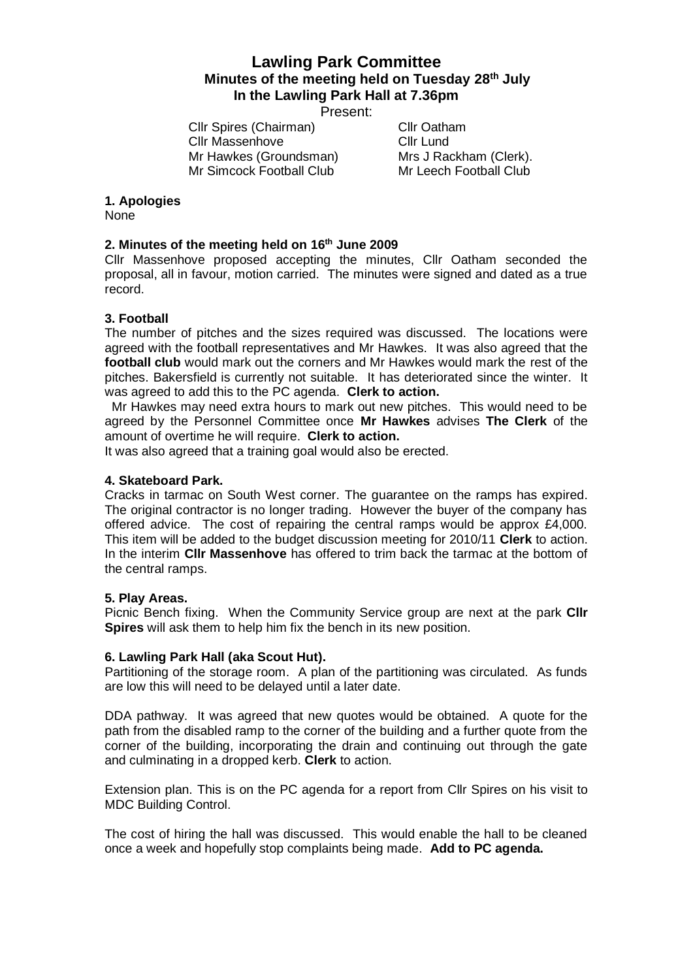# **Lawling Park Committee Minutes of the meeting held on Tuesday 28th July In the Lawling Park Hall at 7.36pm**

Present:

Cllr Spires (Chairman) Cllr Oatham Cllr Massenhove Cllr Lund Mr Hawkes (Groundsman) Mrs J Rackham (Clerk). Mr Simcock Football Club Mr Leech Football Club

### **1. Apologies**

None

# **2. Minutes of the meeting held on 16th June 2009**

Cllr Massenhove proposed accepting the minutes, Cllr Oatham seconded the proposal, all in favour, motion carried. The minutes were signed and dated as a true record.

## **3. Football**

The number of pitches and the sizes required was discussed. The locations were agreed with the football representatives and Mr Hawkes. It was also agreed that the **football club** would mark out the corners and Mr Hawkes would mark the rest of the pitches. Bakersfield is currently not suitable. It has deteriorated since the winter. It was agreed to add this to the PC agenda. **Clerk to action.**

Mr Hawkes may need extra hours to mark out new pitches. This would need to be agreed by the Personnel Committee once **Mr Hawkes** advises **The Clerk** of the amount of overtime he will require. **Clerk to action.**

It was also agreed that a training goal would also be erected.

### **4. Skateboard Park.**

Cracks in tarmac on South West corner. The guarantee on the ramps has expired. The original contractor is no longer trading. However the buyer of the company has offered advice. The cost of repairing the central ramps would be approx £4,000. This item will be added to the budget discussion meeting for 2010/11 **Clerk** to action. In the interim **Cllr Massenhove** has offered to trim back the tarmac at the bottom of the central ramps.

#### **5. Play Areas.**

Picnic Bench fixing. When the Community Service group are next at the park **Cllr Spires** will ask them to help him fix the bench in its new position.

#### **6. Lawling Park Hall (aka Scout Hut).**

Partitioning of the storage room. A plan of the partitioning was circulated. As funds are low this will need to be delayed until a later date.

DDA pathway. It was agreed that new quotes would be obtained. A quote for the path from the disabled ramp to the corner of the building and a further quote from the corner of the building, incorporating the drain and continuing out through the gate and culminating in a dropped kerb. **Clerk** to action.

Extension plan. This is on the PC agenda for a report from Cllr Spires on his visit to MDC Building Control.

The cost of hiring the hall was discussed. This would enable the hall to be cleaned once a week and hopefully stop complaints being made. **Add to PC agenda.**